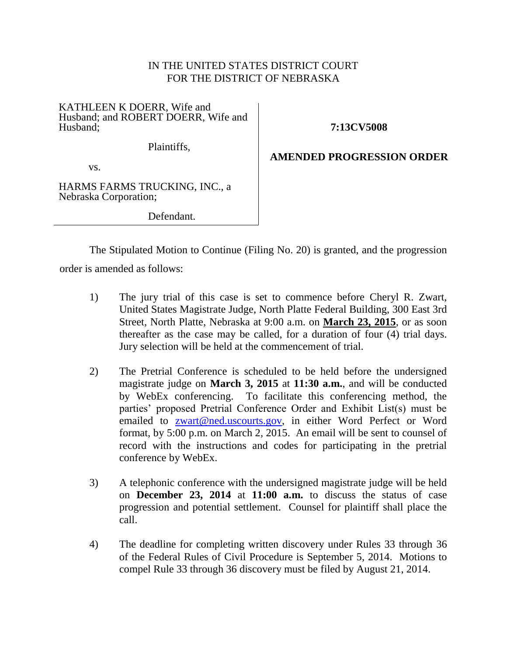## IN THE UNITED STATES DISTRICT COURT FOR THE DISTRICT OF NEBRASKA

## KATHLEEN K DOERR, Wife and Husband; and ROBERT DOERR, Wife and Husband;

**7:13CV5008**

Plaintiffs,

## **AMENDED PROGRESSION ORDER**

vs.

HARMS FARMS TRUCKING, INC., a Nebraska Corporation;

Defendant.

The Stipulated Motion to Continue (Filing No. 20) is granted, and the progression

order is amended as follows:

- 1) The jury trial of this case is set to commence before Cheryl R. Zwart, United States Magistrate Judge, North Platte Federal Building, 300 East 3rd Street, North Platte, Nebraska at 9:00 a.m. on **March 23, 2015**, or as soon thereafter as the case may be called, for a duration of four (4) trial days. Jury selection will be held at the commencement of trial.
- 2) The Pretrial Conference is scheduled to be held before the undersigned magistrate judge on **March 3, 2015** at **11:30 a.m.**, and will be conducted by WebEx conferencing. To facilitate this conferencing method, the parties' proposed Pretrial Conference Order and Exhibit List(s) must be emailed to [zwart@ned.uscourts.gov,](mailto:zwart@ned.uscourts.gov) in either Word Perfect or Word format, by 5:00 p.m. on March 2, 2015. An email will be sent to counsel of record with the instructions and codes for participating in the pretrial conference by WebEx.
- 3) A telephonic conference with the undersigned magistrate judge will be held on **December 23, 2014** at **11:00 a.m.** to discuss the status of case progression and potential settlement. Counsel for plaintiff shall place the call.
- 4) The deadline for completing written discovery under Rules 33 through 36 of the Federal Rules of Civil Procedure is September 5, 2014. Motions to compel Rule 33 through 36 discovery must be filed by August 21, 2014.